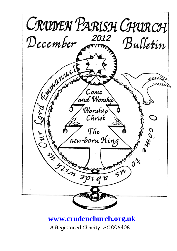

#### **[www.crudenchurch.org.uk](http://www.crudenchurch.org.uk/)**

A Registered Charity SC 006408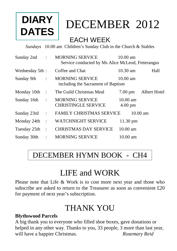# **DIARY DATES**

# DECEMBER2012

### EACH WEEK

*Sundays* 10.00 am Children's Sunday Club in the Church & Stables

| $\ddot{\phantom{a}}$ | <b>MORNING SERVICE</b>                               | $10.00 \text{ am}$                                                                                                         |  |
|----------------------|------------------------------------------------------|----------------------------------------------------------------------------------------------------------------------------|--|
| Wednesday 5th:       | Coffee and Chat                                      | 10.30 am<br>Hall                                                                                                           |  |
| $\ddot{\cdot}$       | <b>MORNING SERVICE</b>                               | $10.00 \text{ am}$                                                                                                         |  |
| $\mathbf{L}$         | The Guild Christmas Meal                             | Albert Hotel<br>$7.00 \text{ pm}$                                                                                          |  |
| $\cdot$              | <b>MORNING SERVICE</b><br><b>CHRISTINGLE SERVICE</b> | $10.00 \text{ am}$<br>$4.00 \text{ pm}$                                                                                    |  |
| $\ddot{\cdot}$       |                                                      | $10.00$ am                                                                                                                 |  |
| $\sim$ 1             | <b>WATCHNIGHT SERVICE</b>                            | 11.30 pm                                                                                                                   |  |
| $\ddot{\phantom{a}}$ | <b>CHRISTMAS DAY SERVICE</b>                         | $10.00$ am                                                                                                                 |  |
| $\ddot{\cdot}$       | <b>MORNING SERVICE</b>                               | $10.00 \text{ am}$                                                                                                         |  |
|                      |                                                      | Service conducted by Ms Alice McLeod, Fetterangus<br>including the Sacrament of Baptism<br><b>FAMILY CHRISTMAS SERVICE</b> |  |

### DECEMBER HYMN BOOK - CH4

# LIFE and WORK

Please note that Life & Work is to cost more next year and those who subscribe are asked to return to the Treasurer as soon as convenient £20 for payment of next year's subscription.

# THANK YOU

#### **Blythswood Parcels**

A big thank you to everyone who filled shoe boxes, gave donations or helped in any other way. Thanks to you, 33 people, 3 more than last year, will have a happier Christmas. *Rosemary Reid*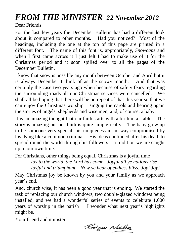# *FROM THE MINISTER 22 November 2012*

Dear Friends

For the last few years the December Bulletin has had a different look about it compared to other months. Had you noticed? Most of the headings, including the one at the top of this page are printed in a different font. The name of this font is, appropriately, *Snowcaps* and when I first came across it I just felt I had to make use of it for the Christmas period and it soon spilled over to all the pages of the December Bulletin.

I know that snow is possible any month between October and April but it is always December I think of as the snowy month. And that was certainly the case two years ago when because of safety fears regarding the surrounding roads all our Christmas services were cancelled. We shall all be hoping that there will be no repeat of that this year so that we can enjoy the Christmas worship – singing the carols and hearing again the stories of angels, shepherds and wise men, and, of course, a baby!

It is an amazing thought that our faith starts with a birth in a stable. The story is amazing but our faith is quite simple really. The baby grew up to be someone very special, his uniqueness in no way compromised by his dying like a common criminal. His ideas continued after his death to spread round the world through his followers – a tradition we are caught up in our own time.

For Christians, other things being equal, Christmas is a joyful time

*Joy to the world, the Lord has come Joyful all ye nations rise Joyful and triumphant Now ye hear of endless bliss: Joy! Joy!*

May Christmas joy be known by you and your family as we approach year's end.

And, church wise, it has been a good year that is ending. We started the task of replacing our church windows, two double-glazed windows being installed, and we had a wonderful series of events to celebrate 1,000 years of worship in the parish I wonder what next year's highlights might be.

Your friend and minister

Rodges Nailson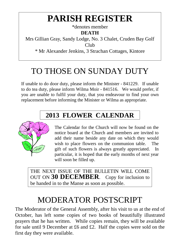# **PARISH REGISTER**

\*denotes member **DEATH**

Mrs Gillian Gray, Sandy Lodge, No. 3 Chalet, Cruden Bay Golf Club \* Mr Alexander Jenkins, 3 Strachan Cottages, Kintore

# TO THOSE ON SUNDAY DUTY

If unable to do door duty, please inform the Minister - 841229. If unable to do tea duty, please inform Wilma Moir - 841516. We would prefer, if you are unable to fulfil your duty, that you endeavour to find your own replacement before informing the Minister or Wilma as appropriate.

### **2013 FLOWER CALENDAR**



The Calendar for the Church will now be found on the notice board at the Church and members are invited to add their name beside any date on which they would wish to place flowers on the communion table. The gift of such flowers is always greatly appreciated. In particular, it is hoped that the early months of next year will soon be filled up.

THE NEXT ISSUE OF THE BULLETIN WILL COME OUT ON **30 DECEMBER**. Copy for inclusion to be handed in to the Manse as soon as possible.

# MODERATOR POSTSCRIPT

The Moderator of the General Assembly, after his visit to us at the end of October, has left some copies of two books of beautifully illustrated prayers that he has written. While copies remain, they will be available for sale until 9 December at £6 and £2. Half the copies were sold on the first day they were available.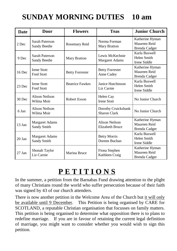### **SUNDAY MORNING DUTIES 10 am**

| <b>Date</b> | <b>Door</b>                             | <b>Flowers</b>         | <b>Teas</b>                                | <b>Junior Church</b>                                    |
|-------------|-----------------------------------------|------------------------|--------------------------------------------|---------------------------------------------------------|
| 2 Dec       | <b>Sarah Paterson</b><br>Sandy Beedie   | Rosemary Reid          | Norma Forman<br><b>Mary Bratton</b>        | Katherine Hyman<br>Maureen Reid<br><b>Brenda Cadger</b> |
| 9 Dec       | Sarah Paterson<br>Sandy Beedie          | Mary Bratton           | Lewis McKechnie<br><b>Margaret Adams</b>   | Karla Buswell<br>Helen Smith<br>Irene Siddle            |
| $16$ Dec    | <b>Irene Stott</b><br><b>Fred Stott</b> | <b>Betty Forrester</b> | <b>Betty Forrester</b><br>Anne Cadey       | Katherine Hyman<br>Maureen Reid<br><b>Brenda Cadger</b> |
| 23 Dec      | <b>Irene Stott</b><br><b>Fred Stott</b> | <b>Beatrice Fawkes</b> | Janice Hutchinson<br>Liz Carnie            | Karla Buswell<br>Helen Smith<br>Irene Siddle            |
| 30 Dec      | Alison Neilson<br>Wilma Moir            | Robert Esson           | Helen Cay<br><b>Irene Stott</b>            | No Junior Church                                        |
| 6 Jan       | Alison Neilson<br>Wilma Moir            |                        | Dorothy Cruickshank<br><b>Sharon Clark</b> | No Junior Church                                        |
| $13$ Jan    | <b>Margaret Adams</b><br>Sandy Smith    |                        | <b>Alison Neilson</b><br>Elizabeth Bruce   | Katherine Hyman<br>Maureen Reid<br><b>Brenda Cadger</b> |
| $20$ Jan    | <b>Margaret Adams</b><br>Sandy Smith    |                        | <b>Betty Morris</b><br>Doreen Buchan       | Karla Buswell<br>Helen Smith<br>Irene Siddle            |
| $27$ Jan    | Shonah Taylor<br>Liz Carnie             | Marina Bruce           | Fiona Stephen<br>Kathleen Craig            | Katherine Hyman<br>Maureen Reid<br><b>Brenda Cadger</b> |

# **P E T I T I O N S**

In the summer, a petition from the Barnabas Fund drawing attention to the plight of many Christians round the world who suffer persecution because of their faith was signed by 43 of our church attenders.

There is now another petition in the Welcome Area of the Church but it will only be available until 9 December. This Petition is being organised by CARE for SCOTLAND, a reputable Christian organisation that focusses on family matters. This petition is being organised to determine what opposition there is to plans to redefine marriage. If you are in favour of retaining the current legal definition of marriage, you might want to consider whether you would wish to sign this petition.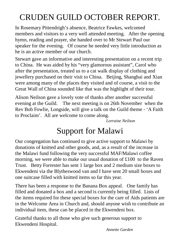# CRUDEN GUILD OCTOBER REPORT.

In Rosemary Pittendrigh's absence, Beatrice Fawkes, welcomed members and visitors to a very well attended meeting. After the opening hymn, reading and prayer, she handed over to Mr Stewart Paul our speaker for the evening. Of course he needed very little introduction as he is an active member of our church.

Stewart gave an informative and interesting presentation on a recent trip to China. He was aided by his "very glamorous assistant", Carol who after the presentation, treated us to a cat walk display of clothing and jewellery purchased on their visit to China. Beijing, Shanghai and Xian were among many of the places they visited and of course, a visit to the Great Wall of China sounded like that was the highlight of their tour.

Alison Neilson gave a lovely vote of thanks after another successful evening at the Guild. The next meeting is on 26th November when the Rev Bob Fowlie, Longside, will give a talk on the Guild theme - 'A Faith to Proclaim'. All are welcome to come along.

*Lorraine Neilson*

### Support for Malawi

Our congregation has continued to give active support to Malawi by donations of knitted and other goods, and, as a result of the increase in the Malawi fund following the very successful MAF/Malawi coffee morning, we were able to make our usual donation of £100 to the Raven Trust. Betty Forrester has sent 1 large box and 2 medium size boxes to Ekwendeni via the Blytheswood van and I have sent 20 small boxes and one suitcase filled with knitted items so far this year.

There has been a response to the Banana Box appeal. One family has filled and donated a box and a second is currently being filled. Lists of the items required for these special boxes for the care of Aids patients are in the Welcome Area in Church and, should anyone wish to contribute an individual item, these can be placed in the Ekwendeni box.

Grateful thanks to all those who give such generous support to Ekwendeni Hospital.

*Annette Garden*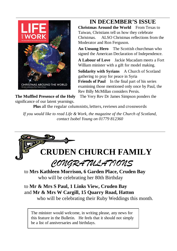

#### **IN DECEMBER'S ISSUE**

**Christmas Around the World** From Texas to Taiwan, Christians tell us how they celebrate Christmas. ALSO Christmas reflections from the Moderator and Ron Ferguson.

**An Unsung Hero** The Scottish churchman who signed the American Declaration of Independence.

**A Labour of Love** Jackie Macadam meets a Fort William minister with a gift for model making.

**Solidarity with Syrians** A Church of Scotland gathering to pray for peace in Syria **Friends of Paul** In the final part of his series examining those mentioned only once by Paul, the Rev Billy McMillan considers Persis.

**The Muffled Presence of the Holy** The Very Rev Dr James Simpson ponders the significance of our latent yearnings.

**Plus** all the regular columnists, letters, reviews and crosswords

*If you would like to read Life & Work, the magazine of the Church of Scotland, contact Isobel Young on 01779 812360*

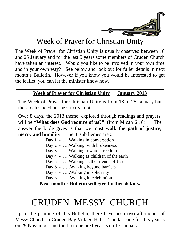

#### Week of Prayer for Christian Unity

The Week of Prayer for Christian Unity is usually observed between 18 and 25 January and for the last 5 years some members of Cruden Church have taken an interest. Would you like to be involved in your own time and in your own way? See below and look out for fuller details in next month's Bulletin. However if you know you would be interested to get the leaflet, you can let the minister know now.

#### **Week of Prayer for Christian Unity January 2013**

The Week of Prayer for Christian Unity is from 18 to 25 January but these dates need not be strictly kept.

Over 8 days, the 2013 theme, explored through readings and prayers. will be **"What does God require of us?"** (from Micah 6 : 8). The answer the bible gives is that we must **walk the path of justice, mercy and humility**. The 8 subthemes are :.

> Day 1 - ....Walking in conversation Day 2 - ....Walking with brokenness Day 3 - ….Walking towards freedom Day 4 - ....Walking as children of the earth Day 5 - ….Walking as the friends of Jesus Day 6 - .....Walking beyond barriers Day 7 - …..Walking in solidarity Day 8 - …..Walking in celebration **Next month's Bulletin will give further details.**

# CRUDEN MESSY CHURCH

Up to the printing of this Bulletin, there have been two afternoons of Messy Church in Cruden Bay Village Hall. The last one for this year is on 29 November and the first one next year is on 17 January.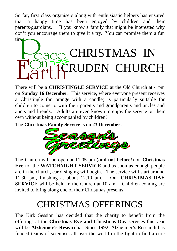So far, first class organisers along with enthusiastic helpers has ensured that a happy time has been enjoyed by children and their parents/guardians. If you know a family that might be interested why don't you encourage them to give it a try. You can promise them a fun time!



There will be a **CHRISTINGLE SERVICE** at the Old Church at 4 pm on **Sunday 16 December.** This service, where everyone present receives a Christingle (an orange with a candle) is particularly suitable for children to come to with their parents and grandparents and uncles and aunts and friends. Adults are even known to enjoy the service on their own without being accompanied by children!

The **Christmas Family Service** is on **23 December.**



The Church will be open at 11:05 pm (**and not before!**) on **Christmas Eve** for the **WATCHNIGHT SERVICE** and as soon as enough people are in the church, carol singing will begin. The service will start around 11.30 pm, finishing at about 12.10 am. Our **CHRISTMAS DAY SERVICE** will be held in the Church at 10 am. Children coming are invited to bring along one of their Christmas presents.

# CHRISTMAS OFFERINGS

The Kirk Session has decided that the charity to benefit from the offerings at the **Christmas Eve and Christmas Day** services this year will be **Alzheimer's Research.** Since 1992, Alzheimer's Research has funded teams of scientists all over the world in the fight to find a cure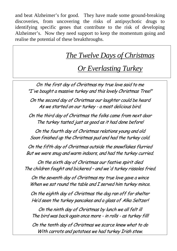and beat Alzheimer's for good. They have made some ground-breaking discoveries, from uncovering the risks of antipsychotic drugs to identifying specific genes that contribute to the risk of developing Alzheimer's. Now they need support to keep the momentum going and realise the potential of these breakthroughs.

### *The Twelve Days of Christmas*

#### *Or Everlasting Turkey*

On the first day of Christmas my true love said to me "I've bought a massive turkey and this lovely Christmas Tree!"

On the second day of Christmas our laughter could be heard As we started on our turkey - a most delicious bird.

On the third day of Christmas the folks came from next door The turkey tasted just as good as it had done before!

On the fourth day of Christmas relations young and old Soon finished up the Christmas pud and had the turkey cold.

On the fifth day of Christmas outside the snowflakes flurried But we were snug and warm indoors, and had the turkey curried.

On the sixth day of Christmas our festive spirit died The children fought and bickered – and we'd turkey rissoles fried.

On the seventh day of Christmas my true love gave a wince When we sat round the table and I served him turkey mince.

On the eighth day of Christmas the dog ran off for shelter He'd seen the turkey pancakes and a glass of Alka Seltzer!

On the ninth day of Christmas by lunch we all felt ill The bird was back again once more - in rolls - as turkey fill!

On the tenth day of Christmas we scarce knew what to do With carrots and potatoes we had turkey Irish stew.